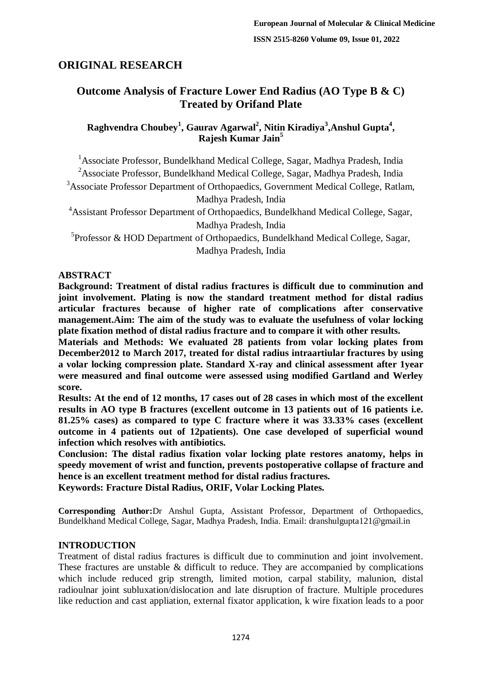# **ORIGINAL RESEARCH**

# **Outcome Analysis of Fracture Lower End Radius (AO Type B & C) Treated by Orifand Plate**

## **Raghvendra Choubey<sup>1</sup> , Gaurav Agarwal<sup>2</sup> , Nitin Kiradiya<sup>3</sup> ,Anshul Gupta<sup>4</sup> , Rajesh Kumar Jain<sup>5</sup>**

<sup>1</sup> Associate Professor, Bundelkhand Medical College, Sagar, Madhya Pradesh, India <sup>2</sup>Associate Professor, Bundelkhand Medical College, Sagar, Madhya Pradesh, India

<sup>3</sup>Associate Professor Department of Orthopaedics, Government Medical College, Ratlam, Madhya Pradesh, India

<sup>4</sup>Assistant Professor Department of Orthopaedics, Bundelkhand Medical College, Sagar, Madhya Pradesh, India

<sup>5</sup>Professor & HOD Department of Orthopaedics, Bundelkhand Medical College, Sagar, Madhya Pradesh, India

### **ABSTRACT**

**Background: Treatment of distal radius fractures is difficult due to comminution and joint involvement. Plating is now the standard treatment method for distal radius articular fractures because of higher rate of complications after conservative management.Aim: The aim of the study was to evaluate the usefulness of volar locking plate fixation method of distal radius fracture and to compare it with other results.**

**Materials and Methods: We evaluated 28 patients from volar locking plates from December2012 to March 2017, treated for distal radius intraartiular fractures by using a volar locking compression plate. Standard X-ray and clinical assessment after 1year were measured and final outcome were assessed using modified Gartland and Werley score.**

**Results: At the end of 12 months, 17 cases out of 28 cases in which most of the excellent results in AO type B fractures (excellent outcome in 13 patients out of 16 patients i.e. 81.25% cases) as compared to type C fracture where it was 33.33% cases (excellent outcome in 4 patients out of 12patients). One case developed of superficial wound infection which resolves with antibiotics.**

**Conclusion: The distal radius fixation volar locking plate restores anatomy, helps in speedy movement of wrist and function, prevents postoperative collapse of fracture and hence is an excellent treatment method for distal radius fractures.**

**Keywords: Fracture Distal Radius, ORIF, Volar Locking Plates.**

**Corresponding Author:**Dr Anshul Gupta, Assistant Professor, Department of Orthopaedics, Bundelkhand Medical College, Sagar, Madhya Pradesh, India. Email: dranshulgupta121@gmail.in

# **INTRODUCTION**

Treatment of distal radius fractures is difficult due to comminution and joint involvement. These fractures are unstable & difficult to reduce. They are accompanied by complications which include reduced grip strength, limited motion, carpal stability, malunion, distal radioulnar joint subluxation/dislocation and late disruption of fracture. Multiple procedures like reduction and cast appliation, external fixator application, k wire fixation leads to a poor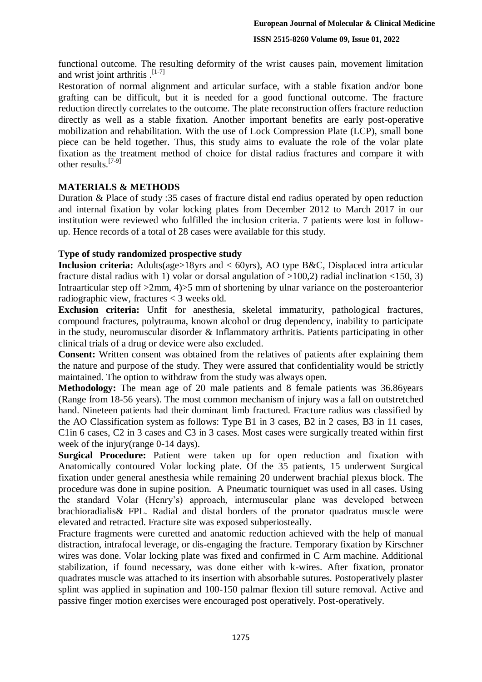functional outcome. The resulting deformity of the wrist causes pain, movement limitation and wrist joint arthritis .<sup>[1-7]</sup>

Restoration of normal alignment and articular surface, with a stable fixation and/or bone grafting can be difficult, but it is needed for a good functional outcome. The fracture reduction directly correlates to the outcome. The plate reconstruction offers fracture reduction directly as well as a stable fixation. Another important benefits are early post-operative mobilization and rehabilitation. With the use of Lock Compression Plate (LCP), small bone piece can be held together. Thus, this study aims to evaluate the role of the volar plate fixation as the treatment method of choice for distal radius fractures and compare it with other results.[7-9]

### **MATERIALS & METHODS**

Duration & Place of study :35 cases of fracture distal end radius operated by open reduction and internal fixation by volar locking plates from December 2012 to March 2017 in our institution were reviewed who fulfilled the inclusion criteria. 7 patients were lost in followup. Hence records of a total of 28 cases were available for this study.

#### **Type of study randomized prospective study**

**Inclusion criteria:** Adults(age>18yrs and < 60yrs), AO type B&C, Displaced intra articular fracture distal radius with 1) volar or dorsal angulation of  $>100,2$ ) radial inclination <150, 3) Intraarticular step off >2mm, 4)>5 mm of shortening by ulnar variance on the posteroanterior radiographic view, fractures < 3 weeks old.

**Exclusion criteria:** Unfit for anesthesia, skeletal immaturity, pathological fractures, compound fractures, polytrauma, known alcohol or drug dependency, inability to participate in the study, neuromuscular disorder & Inflammatory arthritis. Patients participating in other clinical trials of a drug or device were also excluded.

**Consent:** Written consent was obtained from the relatives of patients after explaining them the nature and purpose of the study. They were assured that confidentiality would be strictly maintained. The option to withdraw from the study was always open.

**Methodology:** The mean age of 20 male patients and 8 female patients was 36.86years (Range from 18-56 years). The most common mechanism of injury was a fall on outstretched hand. Nineteen patients had their dominant limb fractured. Fracture radius was classified by the AO Classification system as follows: Type B1 in 3 cases, B2 in 2 cases, B3 in 11 cases, C1in 6 cases, C2 in 3 cases and C3 in 3 cases. Most cases were surgically treated within first week of the injury(range 0-14 days).

**Surgical Procedure:** Patient were taken up for open reduction and fixation with Anatomically contoured Volar locking plate. Of the 35 patients, 15 underwent Surgical fixation under general anesthesia while remaining 20 underwent brachial plexus block. The procedure was done in supine position. A Pneumatic tourniquet was used in all cases. Using the standard Volar (Henry's) approach, intermuscular plane was developed between brachioradialis& FPL. Radial and distal borders of the pronator quadratus muscle were elevated and retracted. Fracture site was exposed subperiosteally.

Fracture fragments were curetted and anatomic reduction achieved with the help of manual distraction, intrafocal leverage, or dis-engaging the fracture. Temporary fixation by Kirschner wires was done. Volar locking plate was fixed and confirmed in C Arm machine. Additional stabilization, if found necessary, was done either with k-wires. After fixation, pronator quadrates muscle was attached to its insertion with absorbable sutures. Postoperatively plaster splint was applied in supination and 100-150 palmar flexion till suture removal. Active and passive finger motion exercises were encouraged post operatively. Post-operatively.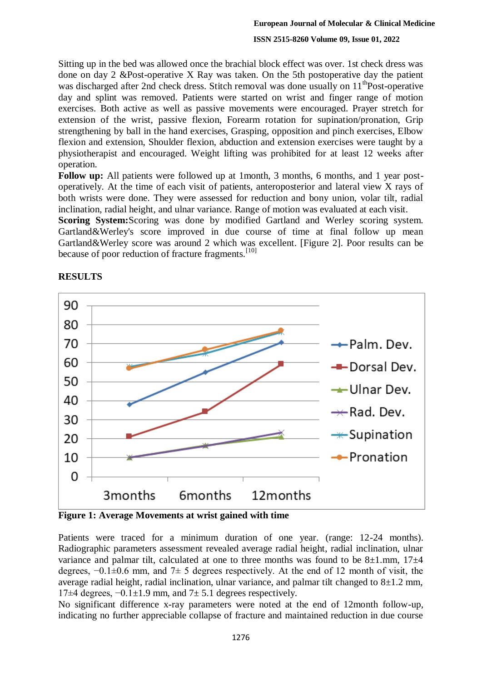#### **ISSN 2515-8260 Volume 09, Issue 01, 2022**

Sitting up in the bed was allowed once the brachial block effect was over. 1st check dress was done on day 2 &Post-operative X Ray was taken. On the 5th postoperative day the patient was discharged after 2nd check dress. Stitch removal was done usually on  $11^{th}$ Post-operative day and splint was removed. Patients were started on wrist and finger range of motion exercises. Both active as well as passive movements were encouraged. Prayer stretch for extension of the wrist, passive flexion, Forearm rotation for supination/pronation, Grip strengthening by ball in the hand exercises, Grasping, opposition and pinch exercises, Elbow flexion and extension, Shoulder flexion, abduction and extension exercises were taught by a physiotherapist and encouraged. Weight lifting was prohibited for at least 12 weeks after operation.

**Follow up:** All patients were followed up at 1month, 3 months, 6 months, and 1 year postoperatively. At the time of each visit of patients, anteroposterior and lateral view X rays of both wrists were done. They were assessed for reduction and bony union, volar tilt, radial inclination, radial height, and ulnar variance. Range of motion was evaluated at each visit.

**Scoring System:**Scoring was done by modified Gartland and Werley scoring system. Gartland&Werley's score improved in due course of time at final follow up mean Gartland&Werley score was around 2 which was excellent. [Figure 2]. Poor results can be because of poor reduction of fracture fragments.<sup>[10]</sup>



### **RESULTS**

**Figure 1: Average Movements at wrist gained with time**

Patients were traced for a minimum duration of one year. (range: 12-24 months). Radiographic parameters assessment revealed average radial height, radial inclination, ulnar variance and palmar tilt, calculated at one to three months was found to be  $8\pm1$ .mm,  $17\pm4$ degrees,  $-0.1\pm0.6$  mm, and  $7\pm5$  degrees respectively. At the end of 12 month of visit, the average radial height, radial inclination, ulnar variance, and palmar tilt changed to  $8\pm1.2$  mm, 17 $\pm$ 4 degrees,  $-0.1\pm1.9$  mm, and 7 $\pm$  5.1 degrees respectively.

No significant difference x-ray parameters were noted at the end of 12month follow-up, indicating no further appreciable collapse of fracture and maintained reduction in due course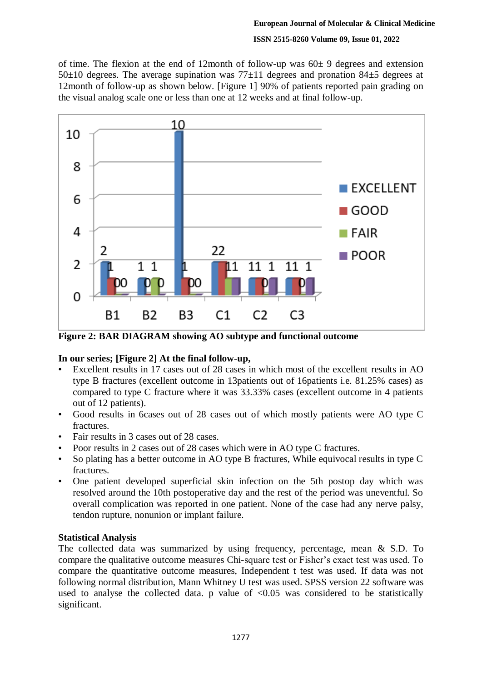### **ISSN 2515-8260 Volume 09, Issue 01, 2022**

of time. The flexion at the end of 12month of follow-up was  $60\pm 9$  degrees and extension  $50±10$  degrees. The average supination was  $77±11$  degrees and pronation  $84±5$  degrees at 12month of follow-up as shown below. [Figure 1] 90% of patients reported pain grading on the visual analog scale one or less than one at 12 weeks and at final follow-up.



**Figure 2: BAR DIAGRAM showing AO subtype and functional outcome**

# **In our series; [Figure 2] At the final follow-up,**

- Excellent results in 17 cases out of 28 cases in which most of the excellent results in AO type B fractures (excellent outcome in 13patients out of 16patients i.e. 81.25% cases) as compared to type C fracture where it was 33.33% cases (excellent outcome in 4 patients out of 12 patients).
- Good results in 6cases out of 28 cases out of which mostly patients were AO type C fractures.
- Fair results in 3 cases out of 28 cases.
- Poor results in 2 cases out of 28 cases which were in AO type C fractures.
- So plating has a better outcome in AO type B fractures, While equivocal results in type C fractures.
- One patient developed superficial skin infection on the 5th postop day which was resolved around the 10th postoperative day and the rest of the period was uneventful. So overall complication was reported in one patient. None of the case had any nerve palsy, tendon rupture, nonunion or implant failure.

### **Statistical Analysis**

The collected data was summarized by using frequency, percentage, mean & S.D. To compare the qualitative outcome measures Chi-square test or Fisher's exact test was used. To compare the quantitative outcome measures, Independent t test was used. If data was not following normal distribution, Mann Whitney U test was used. SPSS version 22 software was used to analyse the collected data. p value of  $\langle 0.05 \rangle$  was considered to be statistically significant.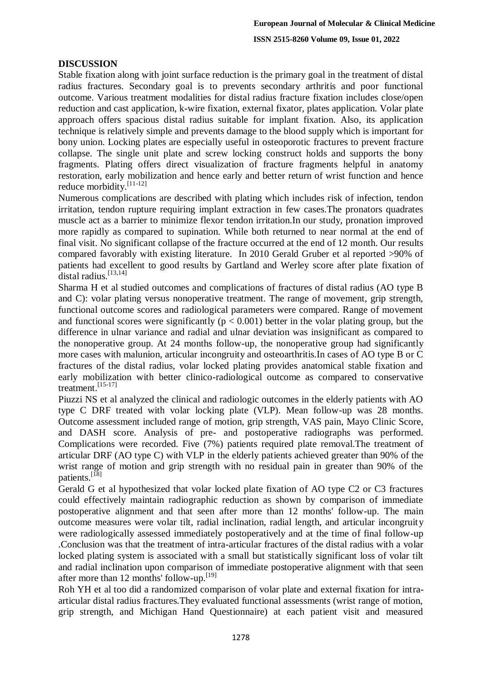### **DISCUSSION**

Stable fixation along with joint surface reduction is the primary goal in the treatment of distal radius fractures. Secondary goal is to prevents secondary arthritis and poor functional outcome. Various treatment modalities for distal radius fracture fixation includes close/open reduction and cast application, k-wire fixation, external fixator, plates application. Volar plate approach offers spacious distal radius suitable for implant fixation. Also, its application technique is relatively simple and prevents damage to the blood supply which is important for bony union. Locking plates are especially useful in osteoporotic fractures to prevent fracture collapse. The single unit plate and screw locking construct holds and supports the bony fragments. Plating offers direct visualization of fracture fragments helpful in anatomy restoration, early mobilization and hence early and better return of wrist function and hence reduce morbidity.[11-12]

Numerous complications are described with plating which includes risk of infection, tendon irritation, tendon rupture requiring implant extraction in few cases.The pronators quadrates muscle act as a barrier to minimize flexor tendon irritation.In our study, pronation improved more rapidly as compared to supination. While both returned to near normal at the end of final visit. No significant collapse of the fracture occurred at the end of 12 month. Our results compared favorably with existing literature. In 2010 Gerald Gruber et al reported >90% of patients had excellent to good results by Gartland and Werley score after plate fixation of distal radius.<sup>[13,14]</sup>

Sharma H et al studied outcomes and complications of fractures of distal radius (AO type B and C): volar plating versus nonoperative treatment. The range of movement, grip strength, functional outcome scores and radiological parameters were compared. Range of movement and functional scores were significantly ( $p < 0.001$ ) better in the volar plating group, but the difference in ulnar variance and radial and ulnar deviation was insignificant as compared to the nonoperative group. At 24 months follow-up, the nonoperative group had significantly more cases with malunion, articular incongruity and osteoarthritis.In cases of AO type B or C fractures of the distal radius, volar locked plating provides anatomical stable fixation and early mobilization with better clinico-radiological outcome as compared to conservative treatment. $^{[15-17]}$ 

Piuzzi NS et al analyzed the clinical and radiologic outcomes in the elderly patients with AO type C DRF treated with volar locking plate (VLP). Mean follow-up was 28 months. Outcome assessment included range of motion, grip strength, VAS pain, Mayo Clinic Score, and DASH score. Analysis of pre- and postoperative radiographs was performed. Complications were recorded. Five (7%) patients required plate removal.The treatment of articular DRF (AO type C) with VLP in the elderly patients achieved greater than 90% of the wrist range of motion and grip strength with no residual pain in greater than 90% of the patients.<sup>[18]</sup>

Gerald G et al hypothesized that volar locked plate fixation of AO type C2 or C3 fractures could effectively maintain radiographic reduction as shown by comparison of immediate postoperative alignment and that seen after more than 12 months' follow-up. The main outcome measures were volar tilt, radial inclination, radial length, and articular incongruity were radiologically assessed immediately postoperatively and at the time of final follow-up .Conclusion was that the treatment of intra-articular fractures of the distal radius with a volar locked plating system is associated with a small but statistically significant loss of volar tilt and radial inclination upon comparison of immediate postoperative alignment with that seen after more than 12 months' follow-up.<sup>[19]</sup>

Roh YH et al too did a randomized comparison of volar plate and external fixation for intraarticular distal radius fractures.They evaluated functional assessments (wrist range of motion, grip strength, and Michigan Hand Questionnaire) at each patient visit and measured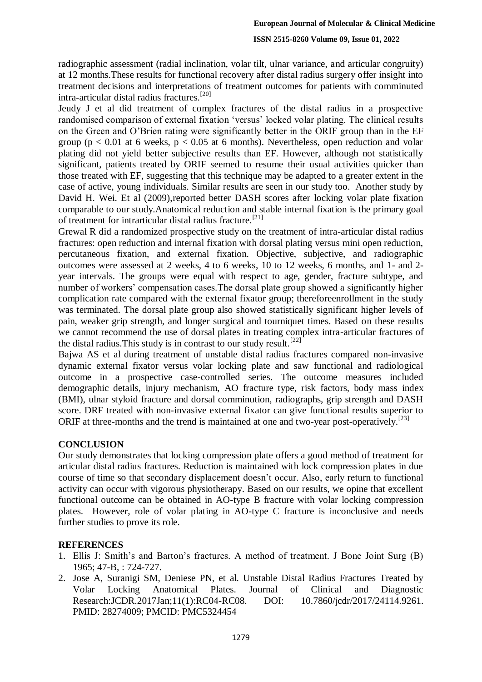#### **ISSN 2515-8260 Volume 09, Issue 01, 2022**

radiographic assessment (radial inclination, volar tilt, ulnar variance, and articular congruity) at 12 months.These results for functional recovery after distal radius surgery offer insight into treatment decisions and interpretations of treatment outcomes for patients with comminuted intra-articular distal radius fractures.[20]

Jeudy J et al did treatment of complex fractures of the distal radius in a prospective randomised comparison of external fixation 'versus' locked volar plating. The clinical results on the Green and O'Brien rating were significantly better in the ORIF group than in the EF group ( $p < 0.01$  at 6 weeks,  $p < 0.05$  at 6 months). Nevertheless, open reduction and volar plating did not yield better subjective results than EF. However, although not statistically significant, patients treated by ORIF seemed to resume their usual activities quicker than those treated with EF, suggesting that this technique may be adapted to a greater extent in the case of active, young individuals. Similar results are seen in our study too. Another study by David H. Wei. Et al (2009), reported better DASH scores after locking volar plate fixation comparable to our study.Anatomical reduction and stable internal fixation is the primary goal of treatment for intrarticular distal radius fracture.<sup>[21]</sup>

Grewal R did a randomized prospective study on the treatment of intra-articular distal radius fractures: open reduction and internal fixation with dorsal plating versus mini open reduction, percutaneous fixation, and external fixation. Objective, subjective, and radiographic outcomes were assessed at 2 weeks, 4 to 6 weeks, 10 to 12 weeks, 6 months, and 1- and 2 year intervals. The groups were equal with respect to age, gender, fracture subtype, and number of workers' compensation cases.The dorsal plate group showed a significantly higher complication rate compared with the external fixator group; thereforeenrollment in the study was terminated. The dorsal plate group also showed statistically significant higher levels of pain, weaker grip strength, and longer surgical and tourniquet times. Based on these results we cannot recommend the use of dorsal plates in treating complex intra-articular fractures of the distal radius. This study is in contrast to our study result.<sup>[22]</sup>

Bajwa AS et al during treatment of unstable distal radius fractures compared non-invasive dynamic external fixator versus volar locking plate and saw functional and radiological outcome in a prospective case-controlled series. The outcome measures included demographic details, injury mechanism, AO fracture type, risk factors, body mass index (BMI), ulnar styloid fracture and dorsal comminution, radiographs, grip strength and DASH score. DRF treated with non-invasive external fixator can give functional results superior to ORIF at three-months and the trend is maintained at one and two-year post-operatively.<sup>[23]</sup>

#### **CONCLUSION**

Our study demonstrates that locking compression plate offers a good method of treatment for articular distal radius fractures. Reduction is maintained with lock compression plates in due course of time so that secondary displacement doesn't occur. Also, early return to functional activity can occur with vigorous physiotherapy. Based on our results, we opine that excellent functional outcome can be obtained in AO-type B fracture with volar locking compression plates. However, role of volar plating in AO-type C fracture is inconclusive and needs further studies to prove its role.

### **REFERENCES**

- 1. Ellis J: Smith's and Barton's fractures. A method of treatment. J Bone Joint Surg (B) 1965; 47-B, : 724-727.
- 2. Jose A, Suranigi SM, Deniese PN, et al. Unstable Distal Radius Fractures Treated by Volar Locking Anatomical Plates. Journal of Clinical and Diagnostic Research:JCDR.2017Jan;11(1):RC04-RC08. DOI: 10.7860/jcdr/2017/24114.9261. PMID: 28274009; PMCID: PMC5324454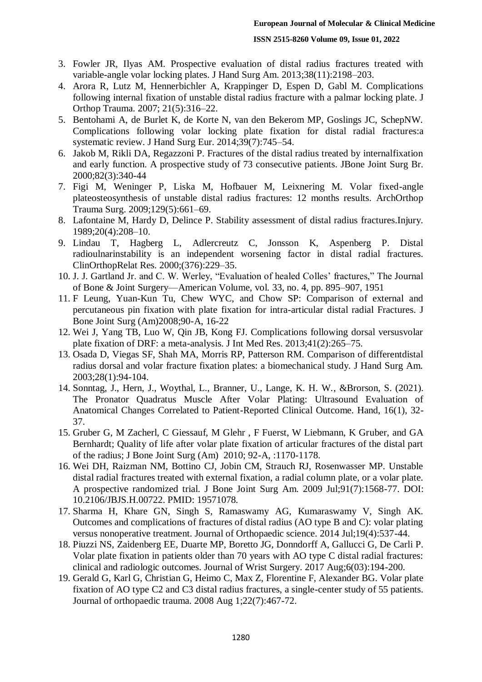- 3. Fowler JR, Ilyas AM. Prospective evaluation of distal radius fractures treated with variable-angle volar locking plates. J Hand Surg Am. 2013;38(11):2198–203.
- 4. Arora R, Lutz M, Hennerbichler A, Krappinger D, Espen D, Gabl M. Complications following internal fixation of unstable distal radius fracture with a palmar locking plate. J Orthop Trauma. 2007; 21(5):316–22.
- 5. Bentohami A, de Burlet K, de Korte N, van den Bekerom MP, Goslings JC, SchepNW. Complications following volar locking plate fixation for distal radial fractures:a systematic review. J Hand Surg Eur. 2014;39(7):745–54.
- 6. Jakob M, Rikli DA, Regazzoni P. Fractures of the distal radius treated by internalfixation and early function. A prospective study of 73 consecutive patients. JBone Joint Surg Br. 2000;82(3):340-44
- 7. Figi M, Weninger P, Liska M, Hofbauer M, Leixnering M. Volar fixed-angle plateosteosynthesis of unstable distal radius fractures: 12 months results. ArchOrthop Trauma Surg. 2009;129(5):661–69.
- 8. Lafontaine M, Hardy D, Delince P. Stability assessment of distal radius fractures.Injury. 1989;20(4):208–10.
- 9. Lindau T, Hagberg L, Adlercreutz C, Jonsson K, Aspenberg P. Distal radioulnarinstability is an independent worsening factor in distal radial fractures. ClinOrthopRelat Res. 2000;(376):229–35.
- 10. J. J. Gartland Jr. and C. W. Werley, "Evaluation of healed Colles' fractures," The Journal of Bone & Joint Surgery—American Volume, vol. 33, no. 4, pp. 895–907, 1951
- 11. F Leung, Yuan-Kun Tu, Chew WYC, and Chow SP: Comparison of external and percutaneous pin fixation with plate fixation for intra-articular distal radial Fractures. J Bone Joint Surg (Am)2008;90-A, 16-22
- 12. Wei J, Yang TB, Luo W, Qin JB, Kong FJ. Complications following dorsal versusvolar plate fixation of DRF: a meta-analysis. J Int Med Res. 2013;41(2):265–75.
- 13. Osada D, Viegas SF, Shah MA, Morris RP, Patterson RM. Comparison of differentdistal radius dorsal and volar fracture fixation plates: a biomechanical study. J Hand Surg Am. 2003;28(1):94-104.
- 14. Sonntag, J., Hern, J., Woythal, L., Branner, U., Lange, K. H. W., &Brorson, S. (2021). The Pronator Quadratus Muscle After Volar Plating: Ultrasound Evaluation of Anatomical Changes Correlated to Patient-Reported Clinical Outcome. Hand, 16(1), 32- 37.
- 15. Gruber G, M Zacherl, C Giessauf, M Glehr , F Fuerst, W Liebmann, K Gruber, and GA Bernhardt; Quality of life after volar plate fixation of articular fractures of the distal part of the radius; J Bone Joint Surg (Am) 2010; 92-A, :1170-1178.
- 16. Wei DH, Raizman NM, Bottino CJ, Jobin CM, Strauch RJ, Rosenwasser MP. Unstable distal radial fractures treated with external fixation, a radial column plate, or a volar plate. A prospective randomized trial. J Bone Joint Surg Am. 2009 Jul;91(7):1568-77. DOI: 10.2106/JBJS.H.00722. PMID: 19571078.
- 17. Sharma H, Khare GN, Singh S, Ramaswamy AG, Kumaraswamy V, Singh AK. Outcomes and complications of fractures of distal radius (AO type B and C): volar plating versus nonoperative treatment. Journal of Orthopaedic science. 2014 Jul;19(4):537-44.
- 18. Piuzzi NS, Zaidenberg EE, Duarte MP, Boretto JG, Donndorff A, Gallucci G, De Carli P. Volar plate fixation in patients older than 70 years with AO type C distal radial fractures: clinical and radiologic outcomes. Journal of Wrist Surgery. 2017 Aug;6(03):194-200.
- 19. Gerald G, Karl G, Christian G, Heimo C, Max Z, Florentine F, Alexander BG. Volar plate fixation of AO type C2 and C3 distal radius fractures, a single-center study of 55 patients. Journal of orthopaedic trauma. 2008 Aug 1;22(7):467-72.